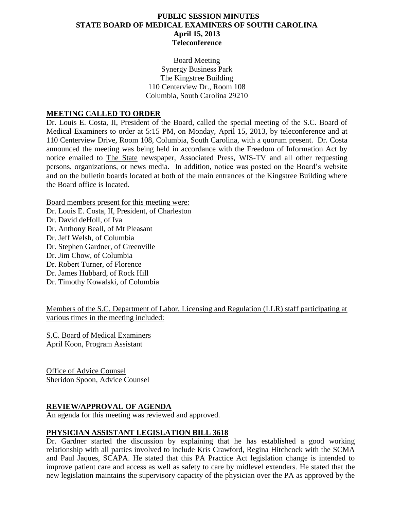# **PUBLIC SESSION MINUTES STATE BOARD OF MEDICAL EXAMINERS OF SOUTH CAROLINA April 15, 2013 Teleconference**

Board Meeting Synergy Business Park The Kingstree Building 110 Centerview Dr., Room 108 Columbia, South Carolina 29210

## **MEETING CALLED TO ORDER**

Dr. Louis E. Costa, II, President of the Board, called the special meeting of the S.C. Board of Medical Examiners to order at 5:15 PM, on Monday, April 15, 2013, by teleconference and at 110 Centerview Drive, Room 108, Columbia, South Carolina, with a quorum present. Dr. Costa announced the meeting was being held in accordance with the Freedom of Information Act by notice emailed to The State newspaper, Associated Press, WIS-TV and all other requesting persons, organizations, or news media. In addition, notice was posted on the Board's website and on the bulletin boards located at both of the main entrances of the Kingstree Building where the Board office is located.

Board members present for this meeting were:

- Dr. Louis E. Costa, II, President, of Charleston
- Dr. David deHoll, of Iva Dr. Anthony Beall, of Mt Pleasant Dr. Jeff Welsh, of Columbia Dr. Stephen Gardner, of Greenville Dr. Jim Chow, of Columbia Dr. Robert Turner, of Florence Dr. James Hubbard, of Rock Hill Dr. Timothy Kowalski, of Columbia

Members of the S.C. Department of Labor, Licensing and Regulation (LLR) staff participating at various times in the meeting included:

S.C. Board of Medical Examiners April Koon, Program Assistant

Office of Advice Counsel Sheridon Spoon, Advice Counsel

### **REVIEW/APPROVAL OF AGENDA**

An agenda for this meeting was reviewed and approved.

### **PHYSICIAN ASSISTANT LEGISLATION BILL 3618**

Dr. Gardner started the discussion by explaining that he has established a good working relationship with all parties involved to include Kris Crawford, Regina Hitchcock with the SCMA and Paul Jaques, SCAPA. He stated that this PA Practice Act legislation change is intended to improve patient care and access as well as safety to care by midlevel extenders. He stated that the new legislation maintains the supervisory capacity of the physician over the PA as approved by the